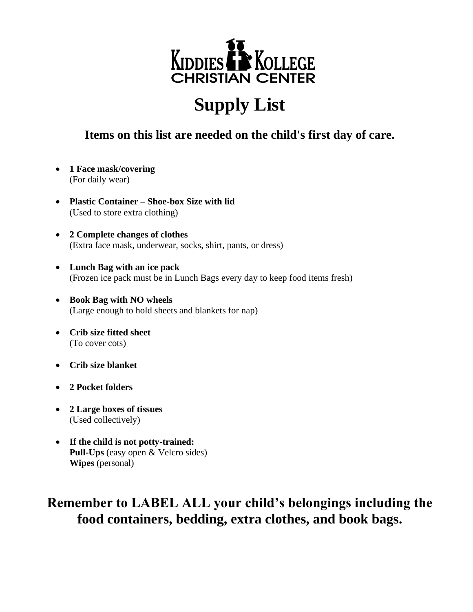

# **Supply List**

# **Items on this list are needed on the child's first day of care.**

- **1 Face mask/covering** (For daily wear)
- **Plastic Container – Shoe-box Size with lid** (Used to store extra clothing)
- **2 Complete changes of clothes** (Extra face mask, underwear, socks, shirt, pants, or dress)
- **Lunch Bag with an ice pack** (Frozen ice pack must be in Lunch Bags every day to keep food items fresh)
- **Book Bag with NO wheels** (Large enough to hold sheets and blankets for nap)
- **Crib size fitted sheet** (To cover cots)
- **Crib size blanket**
- **2 Pocket folders**
- **2 Large boxes of tissues** (Used collectively)
- **If the child is not potty-trained: Pull-Ups** (easy open & Velcro sides) **Wipes** (personal)

# **Remember to LABEL ALL your child's belongings including the food containers, bedding, extra clothes, and book bags.**